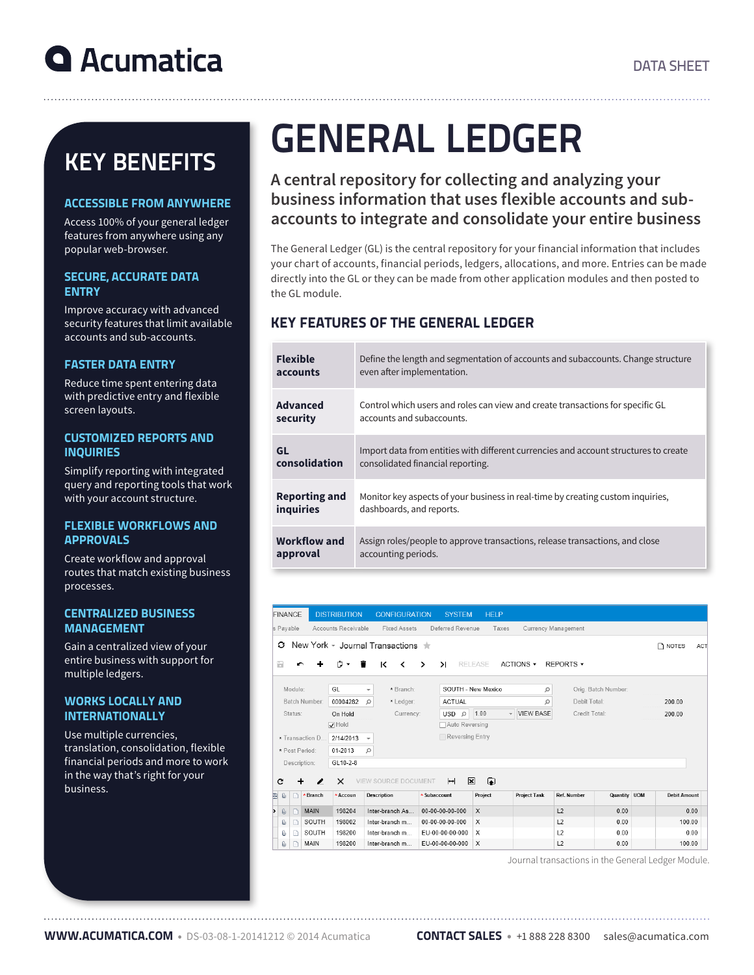# KEY BENEFITS

### ACCESSIBLE FROM ANYWHERE

Access 100% of your general ledger features from anywhere using any popular web-browser.

### SECURE, ACCURATE DATA **ENTRY**

Improve accuracy with advanced security features that limit available accounts and sub-accounts.

### FASTER DATA ENTRY

Reduce time spent entering data with predictive entry and flexible screen layouts.

### CUSTOMIZED REPORTS AND **INQUIRIES**

Simplify reporting with integrated query and reporting tools that work with your account structure.

### FLEXIBLE WORKFLOWS AND **APPROVALS**

Create workflow and approval routes that match existing business processes.

#### CENTRALIZED BUSINESS MANAGEMENT

Gain a centralized view of your entire business with support for multiple ledgers.

### WORKS LOCALLY AND **INTERNATIONALLY**

Use multiple currencies, translation, consolidation, flexible financial periods and more to work in the way that's right for your business.

# GENERAL LEDGER

# **A central repository for collecting and analyzing your business information that uses flexible accounts and subaccounts to integrate and consolidate your entire business**

The General Ledger (GL) is the central repository for your financial information that includes your chart of accounts, financial periods, ledgers, allocations, and more. Entries can be made directly into the GL or they can be made from other application modules and then posted to the GL module.

# KEY FEATURES OF THE GENERAL LEDGER

| <b>Flexible</b>      | Define the length and segmentation of accounts and subaccounts. Change structure     |
|----------------------|--------------------------------------------------------------------------------------|
| accounts             | even after implementation.                                                           |
| <b>Advanced</b>      | Control which users and roles can view and create transactions for specific GL       |
| security             | accounts and subaccounts.                                                            |
| GL                   | Import data from entities with different currencies and account structures to create |
| consolidation        | consolidated financial reporting.                                                    |
| <b>Reporting and</b> | Monitor key aspects of your business in real-time by creating custom inquiries,      |
| inquiries            | dashboards, and reports.                                                             |
| Workflow and         | Assign roles/people to approve transactions, release transactions, and close         |
| approval             | accounting periods.                                                                  |

|    |                                                                                                                                                                                                                                                                                                                                                                                                                                                                                                                                                                                                                                                      | <b>FINANCE</b> |             | <b>DISTRIBUTION</b>                                                     | <b>CONFIGURATION</b> | <b>SYSTEM</b>                                | <b>HELP</b>    |                     |                     |              |  |                     |      |
|----|------------------------------------------------------------------------------------------------------------------------------------------------------------------------------------------------------------------------------------------------------------------------------------------------------------------------------------------------------------------------------------------------------------------------------------------------------------------------------------------------------------------------------------------------------------------------------------------------------------------------------------------------------|----------------|-------------|-------------------------------------------------------------------------|----------------------|----------------------------------------------|----------------|---------------------|---------------------|--------------|--|---------------------|------|
|    | s Pavable<br>Accounts Receivable                                                                                                                                                                                                                                                                                                                                                                                                                                                                                                                                                                                                                     |                |             | Deferred Revenue<br><b>Fixed Assets</b><br>Taxes<br>Currency Management |                      |                                              |                |                     |                     |              |  |                     |      |
|    | New York - Journal Transactions<br>Ω<br>n NOTES<br><b>ACT</b>                                                                                                                                                                                                                                                                                                                                                                                                                                                                                                                                                                                        |                |             |                                                                         |                      |                                              |                |                     |                     |              |  |                     |      |
| a  |                                                                                                                                                                                                                                                                                                                                                                                                                                                                                                                                                                                                                                                      |                |             | <b>۰</b> ب<br>∙                                                         | к<br>≺               | $\lambda$<br>ゝ                               | <b>RELEASE</b> | ACTIONS -           | REPORTS -           |              |  |                     |      |
|    | GL<br>Module:                                                                                                                                                                                                                                                                                                                                                                                                                                                                                                                                                                                                                                        |                |             |                                                                         | * Branch:<br>÷       | SOUTH - New Mexico<br>Ω                      |                |                     | Orig. Batch Number: |              |  |                     |      |
|    | Batch Number:<br>00004282<br>Ω                                                                                                                                                                                                                                                                                                                                                                                                                                                                                                                                                                                                                       |                | * Ledger:   | <b>ACTUAL</b>                                                           |                      | Ω                                            |                | Debit Total:        |                     | 200.00       |  |                     |      |
|    | Status:<br>On Hold                                                                                                                                                                                                                                                                                                                                                                                                                                                                                                                                                                                                                                   |                | Currency:   | <b>USD</b><br>$\Omega$                                                  | 1.00                 | <b>VIEW BASE</b><br>$\overline{\phantom{a}}$ | Credit Total:  |                     |                     | 200.00       |  |                     |      |
|    | $\overline{\smash[b]{\mathsf{v}}}\hspace{-0.5pt}\operatorname{\mathsf{Hold}}$<br>□ Auto Reversing                                                                                                                                                                                                                                                                                                                                                                                                                                                                                                                                                    |                |             |                                                                         |                      |                                              |                |                     |                     |              |  |                     |      |
|    | * Transaction D<br>2/14/2013<br>$\overline{\phantom{a}}$                                                                                                                                                                                                                                                                                                                                                                                                                                                                                                                                                                                             |                |             | Reversing Entry                                                         |                      |                                              |                |                     |                     |              |  |                     |      |
|    | 01-2013<br>* Post Period:                                                                                                                                                                                                                                                                                                                                                                                                                                                                                                                                                                                                                            |                | Ω           |                                                                         |                      |                                              |                |                     |                     |              |  |                     |      |
|    | GL10-2-8<br>Description:                                                                                                                                                                                                                                                                                                                                                                                                                                                                                                                                                                                                                             |                |             |                                                                         |                      |                                              |                |                     |                     |              |  |                     |      |
|    | $\bullet$<br>$\mathbf x$<br>c<br>$\times$<br><b>VIEW SOURCE DOCUMENT</b><br>$\left  \right. \left. \right. \left. \right. \left. \right. \left. \left. \right. \left. \right. \left. \left. \right. \left. \right. \left. \left. \right. \left. \right. \left. \left. \right. \right. \left. \left. \right. \left. \right. \left. \left. \right. \right. \left. \left. \right. \right. \left. \left. \right. \left. \left. \right. \right. \left. \left. \right. \right. \left. \left. \right. \right. \left. \left. \right. \right. \left. \left. \right. \left. \left. \right. \right. \left. \left. \right. \right. \left. \left. \right. \$<br>{ |                |             |                                                                         |                      |                                              |                |                     |                     |              |  |                     |      |
| à. | Û                                                                                                                                                                                                                                                                                                                                                                                                                                                                                                                                                                                                                                                    |                | * Branch    | * Accoun                                                                | Description          | * Subaccount                                 | Project        | <b>Project Task</b> | Ref. Number         | Quantity UOM |  | <b>Debit Amount</b> |      |
|    | Û                                                                                                                                                                                                                                                                                                                                                                                                                                                                                                                                                                                                                                                    |                | <b>MAIN</b> | 198204                                                                  | Inter-branch As      | $00 - 00 - 00 - 00 - 000$                    | $\mathsf{X}$   |                     | L2                  | 0.00         |  |                     | 0.00 |
|    | Û                                                                                                                                                                                                                                                                                                                                                                                                                                                                                                                                                                                                                                                    |                | SOUTH       | 198002                                                                  | Inter-branch m       | $00 - 00 - 00 - 00 - 000$                    | X              |                     | L2                  | 0.00         |  | 100.00              |      |
|    | Û                                                                                                                                                                                                                                                                                                                                                                                                                                                                                                                                                                                                                                                    |                | SOUTH       | 198200                                                                  | Inter-branch m       | EU-00-00-00-000                              | X              |                     | L2                  | 0.00         |  |                     | 0.00 |
|    | Û                                                                                                                                                                                                                                                                                                                                                                                                                                                                                                                                                                                                                                                    |                | MAIN        | 198200                                                                  | Inter-branch m       | EU-00-00-00-000                              | $\chi$         |                     | L2                  | 0.00         |  | 100.00              |      |

Journal transactions in the General Ledger Module.